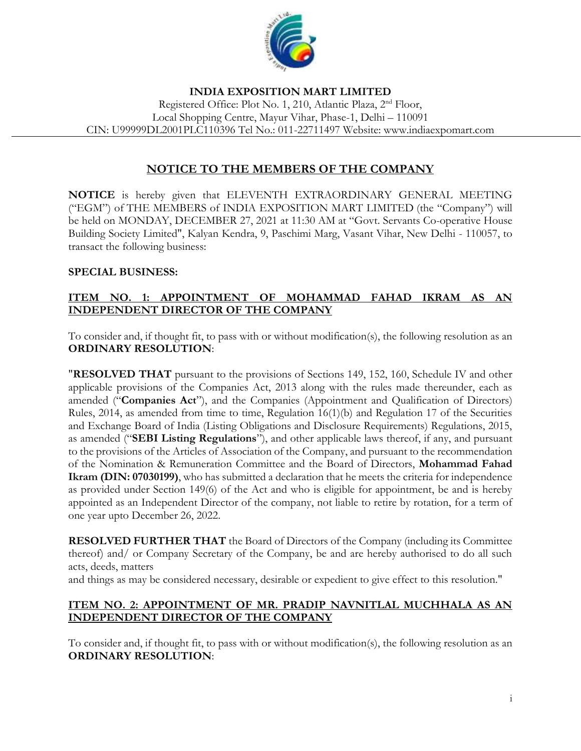

#### **INDIA EXPOSITION MART LIMITED** Registered Office: Plot No. 1, 210, Atlantic Plaza, 2nd Floor, Local Shopping Centre, Mayur Vihar, Phase-1, Delhi – 110091 CIN: U99999DL2001PLC110396 Tel No.: 011-22711497 Website: www.indiaexpomart.com

# **NOTICE TO THE MEMBERS OF THE COMPANY**

**NOTICE** is hereby given that ELEVENTH EXTRAORDINARY GENERAL MEETING ("EGM") of THE MEMBERS of INDIA EXPOSITION MART LIMITED (the "Company") will be held on MONDAY, DECEMBER 27, 2021 at 11:30 AM at "Govt. Servants Co-operative House Building Society Limited", Kalyan Kendra, 9, Paschimi Marg, Vasant Vihar, New Delhi - 110057, to transact the following business:

## **SPECIAL BUSINESS:**

## **ITEM NO. 1: APPOINTMENT OF MOHAMMAD FAHAD IKRAM AS AN INDEPENDENT DIRECTOR OF THE COMPANY**

To consider and, if thought fit, to pass with or without modification(s), the following resolution as an **ORDINARY RESOLUTION**:

"**RESOLVED THAT** pursuant to the provisions of Sections 149, 152, 160, Schedule IV and other applicable provisions of the Companies Act, 2013 along with the rules made thereunder, each as amended ("**Companies Act**"), and the Companies (Appointment and Qualification of Directors) Rules, 2014, as amended from time to time, Regulation 16(1)(b) and Regulation 17 of the Securities and Exchange Board of India (Listing Obligations and Disclosure Requirements) Regulations, 2015, as amended ("**SEBI Listing Regulations**"), and other applicable laws thereof, if any, and pursuant to the provisions of the Articles of Association of the Company, and pursuant to the recommendation of the Nomination & Remuneration Committee and the Board of Directors, **Mohammad Fahad Ikram (DIN: 07030199)**, who has submitted a declaration that he meets the criteria for independence as provided under Section 149(6) of the Act and who is eligible for appointment, be and is hereby appointed as an Independent Director of the company, not liable to retire by rotation, for a term of one year upto December 26, 2022.

**RESOLVED FURTHER THAT** the Board of Directors of the Company (including its Committee thereof) and/ or Company Secretary of the Company, be and are hereby authorised to do all such acts, deeds, matters

and things as may be considered necessary, desirable or expedient to give effect to this resolution."

## **ITEM NO. 2: APPOINTMENT OF MR. PRADIP NAVNITLAL MUCHHALA AS AN INDEPENDENT DIRECTOR OF THE COMPANY**

To consider and, if thought fit, to pass with or without modification(s), the following resolution as an **ORDINARY RESOLUTION**: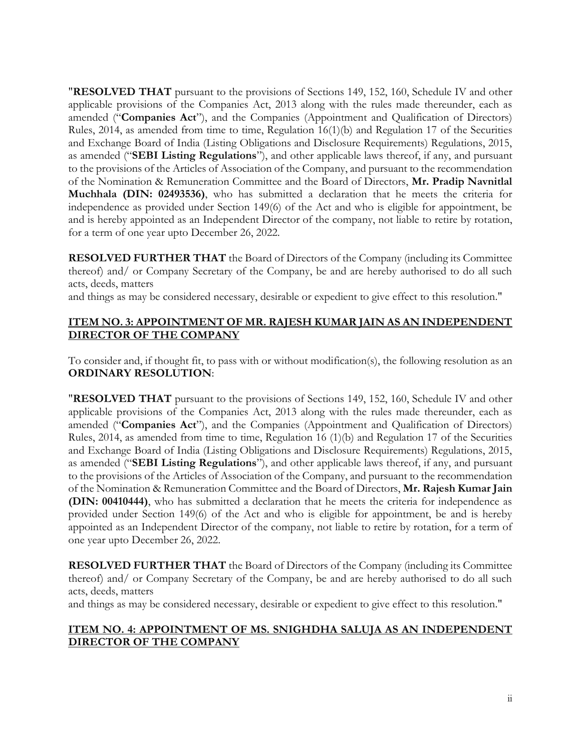"**RESOLVED THAT** pursuant to the provisions of Sections 149, 152, 160, Schedule IV and other applicable provisions of the Companies Act, 2013 along with the rules made thereunder, each as amended ("**Companies Act**"), and the Companies (Appointment and Qualification of Directors) Rules, 2014, as amended from time to time, Regulation 16(1)(b) and Regulation 17 of the Securities and Exchange Board of India (Listing Obligations and Disclosure Requirements) Regulations, 2015, as amended ("**SEBI Listing Regulations**"), and other applicable laws thereof, if any, and pursuant to the provisions of the Articles of Association of the Company, and pursuant to the recommendation of the Nomination & Remuneration Committee and the Board of Directors, **Mr. Pradip Navnitlal Muchhala (DIN: 02493536)**, who has submitted a declaration that he meets the criteria for independence as provided under Section 149(6) of the Act and who is eligible for appointment, be and is hereby appointed as an Independent Director of the company, not liable to retire by rotation, for a term of one year upto December 26, 2022.

**RESOLVED FURTHER THAT** the Board of Directors of the Company (including its Committee thereof) and/ or Company Secretary of the Company, be and are hereby authorised to do all such acts, deeds, matters

and things as may be considered necessary, desirable or expedient to give effect to this resolution."

## **ITEM NO. 3: APPOINTMENT OF MR. RAJESH KUMAR JAIN AS AN INDEPENDENT DIRECTOR OF THE COMPANY**

To consider and, if thought fit, to pass with or without modification(s), the following resolution as an **ORDINARY RESOLUTION**:

"**RESOLVED THAT** pursuant to the provisions of Sections 149, 152, 160, Schedule IV and other applicable provisions of the Companies Act, 2013 along with the rules made thereunder, each as amended ("**Companies Act**"), and the Companies (Appointment and Qualification of Directors) Rules, 2014, as amended from time to time, Regulation 16 (1)(b) and Regulation 17 of the Securities and Exchange Board of India (Listing Obligations and Disclosure Requirements) Regulations, 2015, as amended ("**SEBI Listing Regulations**"), and other applicable laws thereof, if any, and pursuant to the provisions of the Articles of Association of the Company, and pursuant to the recommendation of the Nomination & Remuneration Committee and the Board of Directors, **Mr. Rajesh Kumar Jain (DIN: 00410444)**, who has submitted a declaration that he meets the criteria for independence as provided under Section 149(6) of the Act and who is eligible for appointment, be and is hereby appointed as an Independent Director of the company, not liable to retire by rotation, for a term of one year upto December 26, 2022.

**RESOLVED FURTHER THAT** the Board of Directors of the Company (including its Committee thereof) and/ or Company Secretary of the Company, be and are hereby authorised to do all such acts, deeds, matters

and things as may be considered necessary, desirable or expedient to give effect to this resolution."

## **ITEM NO. 4: APPOINTMENT OF MS. SNIGHDHA SALUJA AS AN INDEPENDENT DIRECTOR OF THE COMPANY**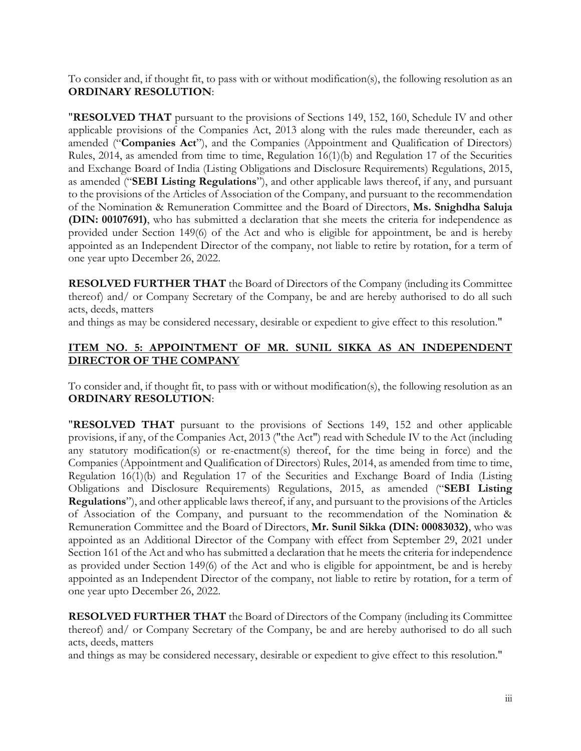To consider and, if thought fit, to pass with or without modification(s), the following resolution as an **ORDINARY RESOLUTION**:

"**RESOLVED THAT** pursuant to the provisions of Sections 149, 152, 160, Schedule IV and other applicable provisions of the Companies Act, 2013 along with the rules made thereunder, each as amended ("**Companies Act**"), and the Companies (Appointment and Qualification of Directors) Rules, 2014, as amended from time to time, Regulation 16(1)(b) and Regulation 17 of the Securities and Exchange Board of India (Listing Obligations and Disclosure Requirements) Regulations, 2015, as amended ("**SEBI Listing Regulations**"), and other applicable laws thereof, if any, and pursuant to the provisions of the Articles of Association of the Company, and pursuant to the recommendation of the Nomination & Remuneration Committee and the Board of Directors, **Ms. Snighdha Saluja (DIN: 00107691)**, who has submitted a declaration that she meets the criteria for independence as provided under Section 149(6) of the Act and who is eligible for appointment, be and is hereby appointed as an Independent Director of the company, not liable to retire by rotation, for a term of one year upto December 26, 2022.

**RESOLVED FURTHER THAT** the Board of Directors of the Company (including its Committee thereof) and/ or Company Secretary of the Company, be and are hereby authorised to do all such acts, deeds, matters

and things as may be considered necessary, desirable or expedient to give effect to this resolution."

## **ITEM NO. 5: APPOINTMENT OF MR. SUNIL SIKKA AS AN INDEPENDENT DIRECTOR OF THE COMPANY**

To consider and, if thought fit, to pass with or without modification(s), the following resolution as an **ORDINARY RESOLUTION**:

"**RESOLVED THAT** pursuant to the provisions of Sections 149, 152 and other applicable provisions, if any, of the Companies Act, 2013 ("the Act") read with Schedule IV to the Act (including any statutory modification(s) or re-enactment(s) thereof, for the time being in force) and the Companies (Appointment and Qualification of Directors) Rules, 2014, as amended from time to time, Regulation 16(1)(b) and Regulation 17 of the Securities and Exchange Board of India (Listing Obligations and Disclosure Requirements) Regulations, 2015, as amended ("**SEBI Listing Regulations**"), and other applicable laws thereof, if any, and pursuant to the provisions of the Articles of Association of the Company, and pursuant to the recommendation of the Nomination & Remuneration Committee and the Board of Directors, **Mr. Sunil Sikka (DIN: 00083032)**, who was appointed as an Additional Director of the Company with effect from September 29, 2021 under Section 161 of the Act and who has submitted a declaration that he meets the criteria for independence as provided under Section 149(6) of the Act and who is eligible for appointment, be and is hereby appointed as an Independent Director of the company, not liable to retire by rotation, for a term of one year upto December 26, 2022.

**RESOLVED FURTHER THAT** the Board of Directors of the Company (including its Committee thereof) and/ or Company Secretary of the Company, be and are hereby authorised to do all such acts, deeds, matters

and things as may be considered necessary, desirable or expedient to give effect to this resolution."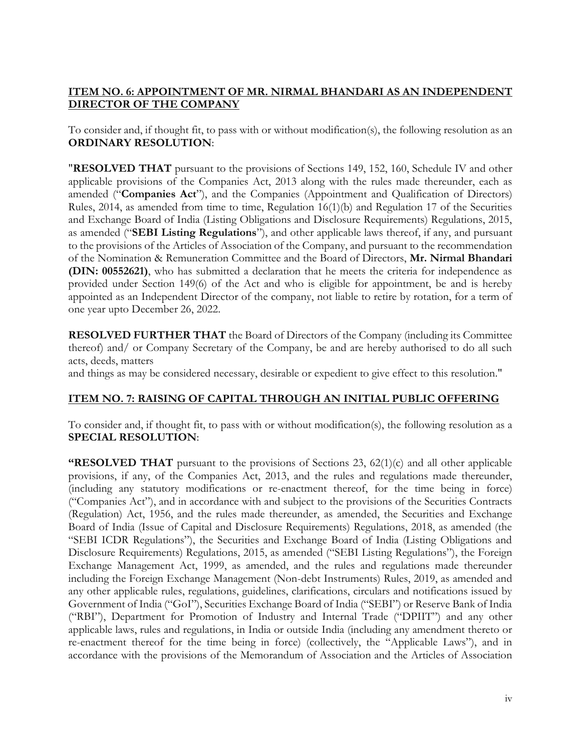## **ITEM NO. 6: APPOINTMENT OF MR. NIRMAL BHANDARI AS AN INDEPENDENT DIRECTOR OF THE COMPANY**

To consider and, if thought fit, to pass with or without modification(s), the following resolution as an **ORDINARY RESOLUTION**:

"**RESOLVED THAT** pursuant to the provisions of Sections 149, 152, 160, Schedule IV and other applicable provisions of the Companies Act, 2013 along with the rules made thereunder, each as amended ("**Companies Act**"), and the Companies (Appointment and Qualification of Directors) Rules, 2014, as amended from time to time, Regulation 16(1)(b) and Regulation 17 of the Securities and Exchange Board of India (Listing Obligations and Disclosure Requirements) Regulations, 2015, as amended ("**SEBI Listing Regulations**"), and other applicable laws thereof, if any, and pursuant to the provisions of the Articles of Association of the Company, and pursuant to the recommendation of the Nomination & Remuneration Committee and the Board of Directors, **Mr. Nirmal Bhandari (DIN: 00552621)**, who has submitted a declaration that he meets the criteria for independence as provided under Section 149(6) of the Act and who is eligible for appointment, be and is hereby appointed as an Independent Director of the company, not liable to retire by rotation, for a term of one year upto December 26, 2022.

**RESOLVED FURTHER THAT** the Board of Directors of the Company (including its Committee thereof) and/ or Company Secretary of the Company, be and are hereby authorised to do all such acts, deeds, matters

and things as may be considered necessary, desirable or expedient to give effect to this resolution."

## **ITEM NO. 7: RAISING OF CAPITAL THROUGH AN INITIAL PUBLIC OFFERING**

To consider and, if thought fit, to pass with or without modification(s), the following resolution as a **SPECIAL RESOLUTION**:

**"RESOLVED THAT** pursuant to the provisions of Sections 23, 62(1)(c) and all other applicable provisions, if any, of the Companies Act, 2013, and the rules and regulations made thereunder, (including any statutory modifications or re-enactment thereof, for the time being in force) ("Companies Act"), and in accordance with and subject to the provisions of the Securities Contracts (Regulation) Act, 1956, and the rules made thereunder, as amended, the Securities and Exchange Board of India (Issue of Capital and Disclosure Requirements) Regulations, 2018, as amended (the "SEBI ICDR Regulations"), the Securities and Exchange Board of India (Listing Obligations and Disclosure Requirements) Regulations, 2015, as amended ("SEBI Listing Regulations"), the Foreign Exchange Management Act, 1999, as amended, and the rules and regulations made thereunder including the Foreign Exchange Management (Non-debt Instruments) Rules, 2019, as amended and any other applicable rules, regulations, guidelines, clarifications, circulars and notifications issued by Government of India ("GoI"), Securities Exchange Board of India ("SEBI") or Reserve Bank of India ("RBI"), Department for Promotion of Industry and Internal Trade ("DPIIT") and any other applicable laws, rules and regulations, in India or outside India (including any amendment thereto or re-enactment thereof for the time being in force) (collectively, the "Applicable Laws"), and in accordance with the provisions of the Memorandum of Association and the Articles of Association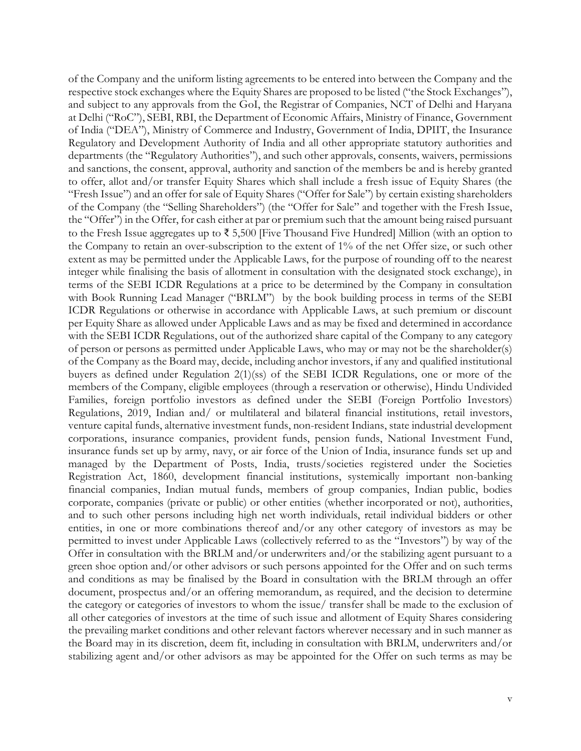of the Company and the uniform listing agreements to be entered into between the Company and the respective stock exchanges where the Equity Shares are proposed to be listed ("the Stock Exchanges"), and subject to any approvals from the GoI, the Registrar of Companies, NCT of Delhi and Haryana at Delhi ("RoC"), SEBI, RBI, the Department of Economic Affairs, Ministry of Finance, Government of India ("DEA"), Ministry of Commerce and Industry, Government of India, DPIIT, the Insurance Regulatory and Development Authority of India and all other appropriate statutory authorities and departments (the "Regulatory Authorities"), and such other approvals, consents, waivers, permissions and sanctions, the consent, approval, authority and sanction of the members be and is hereby granted to offer, allot and/or transfer Equity Shares which shall include a fresh issue of Equity Shares (the "Fresh Issue") and an offer for sale of Equity Shares ("Offer for Sale") by certain existing shareholders of the Company (the "Selling Shareholders") (the "Offer for Sale" and together with the Fresh Issue, the "Offer") in the Offer, for cash either at par or premium such that the amount being raised pursuant to the Fresh Issue aggregates up to ₹ 5,500 [Five Thousand Five Hundred] Million (with an option to the Company to retain an over-subscription to the extent of 1% of the net Offer size, or such other extent as may be permitted under the Applicable Laws, for the purpose of rounding off to the nearest integer while finalising the basis of allotment in consultation with the designated stock exchange), in terms of the SEBI ICDR Regulations at a price to be determined by the Company in consultation with Book Running Lead Manager ("BRLM") by the book building process in terms of the SEBI ICDR Regulations or otherwise in accordance with Applicable Laws, at such premium or discount per Equity Share as allowed under Applicable Laws and as may be fixed and determined in accordance with the SEBI ICDR Regulations, out of the authorized share capital of the Company to any category of person or persons as permitted under Applicable Laws, who may or may not be the shareholder(s) of the Company as the Board may, decide, including anchor investors, if any and qualified institutional buyers as defined under Regulation 2(1)(ss) of the SEBI ICDR Regulations, one or more of the members of the Company, eligible employees (through a reservation or otherwise), Hindu Undivided Families, foreign portfolio investors as defined under the SEBI (Foreign Portfolio Investors) Regulations, 2019, Indian and/ or multilateral and bilateral financial institutions, retail investors, venture capital funds, alternative investment funds, non-resident Indians, state industrial development corporations, insurance companies, provident funds, pension funds, National Investment Fund, insurance funds set up by army, navy, or air force of the Union of India, insurance funds set up and managed by the Department of Posts, India, trusts/societies registered under the Societies Registration Act, 1860, development financial institutions, systemically important non-banking financial companies, Indian mutual funds, members of group companies, Indian public, bodies corporate, companies (private or public) or other entities (whether incorporated or not), authorities, and to such other persons including high net worth individuals, retail individual bidders or other entities, in one or more combinations thereof and/or any other category of investors as may be permitted to invest under Applicable Laws (collectively referred to as the "Investors") by way of the Offer in consultation with the BRLM and/or underwriters and/or the stabilizing agent pursuant to a green shoe option and/or other advisors or such persons appointed for the Offer and on such terms and conditions as may be finalised by the Board in consultation with the BRLM through an offer document, prospectus and/or an offering memorandum, as required, and the decision to determine the category or categories of investors to whom the issue/ transfer shall be made to the exclusion of all other categories of investors at the time of such issue and allotment of Equity Shares considering the prevailing market conditions and other relevant factors wherever necessary and in such manner as the Board may in its discretion, deem fit, including in consultation with BRLM, underwriters and/or stabilizing agent and/or other advisors as may be appointed for the Offer on such terms as may be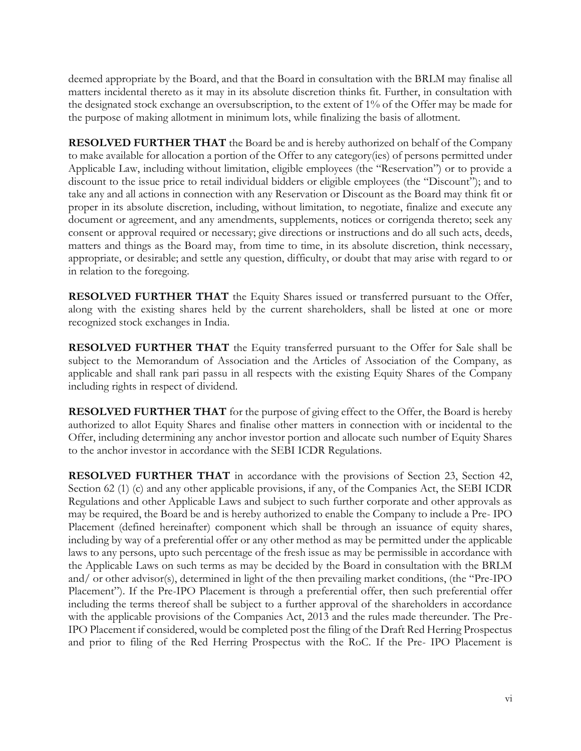deemed appropriate by the Board, and that the Board in consultation with the BRLM may finalise all matters incidental thereto as it may in its absolute discretion thinks fit. Further, in consultation with the designated stock exchange an oversubscription, to the extent of 1% of the Offer may be made for the purpose of making allotment in minimum lots, while finalizing the basis of allotment.

**RESOLVED FURTHER THAT** the Board be and is hereby authorized on behalf of the Company to make available for allocation a portion of the Offer to any category(ies) of persons permitted under Applicable Law, including without limitation, eligible employees (the "Reservation") or to provide a discount to the issue price to retail individual bidders or eligible employees (the "Discount"); and to take any and all actions in connection with any Reservation or Discount as the Board may think fit or proper in its absolute discretion, including, without limitation, to negotiate, finalize and execute any document or agreement, and any amendments, supplements, notices or corrigenda thereto; seek any consent or approval required or necessary; give directions or instructions and do all such acts, deeds, matters and things as the Board may, from time to time, in its absolute discretion, think necessary, appropriate, or desirable; and settle any question, difficulty, or doubt that may arise with regard to or in relation to the foregoing.

**RESOLVED FURTHER THAT** the Equity Shares issued or transferred pursuant to the Offer, along with the existing shares held by the current shareholders, shall be listed at one or more recognized stock exchanges in India.

**RESOLVED FURTHER THAT** the Equity transferred pursuant to the Offer for Sale shall be subject to the Memorandum of Association and the Articles of Association of the Company, as applicable and shall rank pari passu in all respects with the existing Equity Shares of the Company including rights in respect of dividend.

**RESOLVED FURTHER THAT** for the purpose of giving effect to the Offer, the Board is hereby authorized to allot Equity Shares and finalise other matters in connection with or incidental to the Offer, including determining any anchor investor portion and allocate such number of Equity Shares to the anchor investor in accordance with the SEBI ICDR Regulations.

**RESOLVED FURTHER THAT** in accordance with the provisions of Section 23, Section 42, Section 62 (1) (c) and any other applicable provisions, if any, of the Companies Act, the SEBI ICDR Regulations and other Applicable Laws and subject to such further corporate and other approvals as may be required, the Board be and is hereby authorized to enable the Company to include a Pre- IPO Placement (defined hereinafter) component which shall be through an issuance of equity shares, including by way of a preferential offer or any other method as may be permitted under the applicable laws to any persons, upto such percentage of the fresh issue as may be permissible in accordance with the Applicable Laws on such terms as may be decided by the Board in consultation with the BRLM and/ or other advisor(s), determined in light of the then prevailing market conditions, (the "Pre-IPO Placement"). If the Pre-IPO Placement is through a preferential offer, then such preferential offer including the terms thereof shall be subject to a further approval of the shareholders in accordance with the applicable provisions of the Companies Act, 2013 and the rules made thereunder. The Pre-IPO Placement if considered, would be completed post the filing of the Draft Red Herring Prospectus and prior to filing of the Red Herring Prospectus with the RoC. If the Pre- IPO Placement is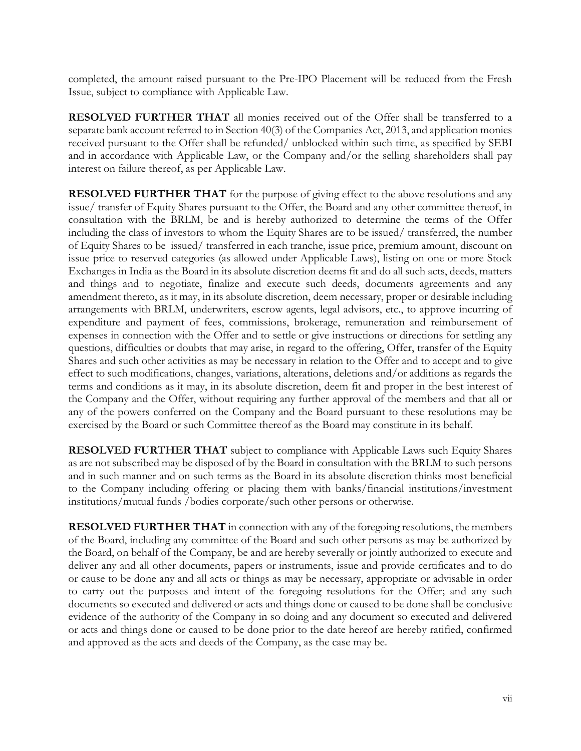completed, the amount raised pursuant to the Pre-IPO Placement will be reduced from the Fresh Issue, subject to compliance with Applicable Law.

**RESOLVED FURTHER THAT** all monies received out of the Offer shall be transferred to a separate bank account referred to in Section 40(3) of the Companies Act, 2013, and application monies received pursuant to the Offer shall be refunded/ unblocked within such time, as specified by SEBI and in accordance with Applicable Law, or the Company and/or the selling shareholders shall pay interest on failure thereof, as per Applicable Law.

**RESOLVED FURTHER THAT** for the purpose of giving effect to the above resolutions and any issue/ transfer of Equity Shares pursuant to the Offer, the Board and any other committee thereof, in consultation with the BRLM, be and is hereby authorized to determine the terms of the Offer including the class of investors to whom the Equity Shares are to be issued/ transferred, the number of Equity Shares to be issued/ transferred in each tranche, issue price, premium amount, discount on issue price to reserved categories (as allowed under Applicable Laws), listing on one or more Stock Exchanges in India as the Board in its absolute discretion deems fit and do all such acts, deeds, matters and things and to negotiate, finalize and execute such deeds, documents agreements and any amendment thereto, as it may, in its absolute discretion, deem necessary, proper or desirable including arrangements with BRLM, underwriters, escrow agents, legal advisors, etc., to approve incurring of expenditure and payment of fees, commissions, brokerage, remuneration and reimbursement of expenses in connection with the Offer and to settle or give instructions or directions for settling any questions, difficulties or doubts that may arise, in regard to the offering, Offer, transfer of the Equity Shares and such other activities as may be necessary in relation to the Offer and to accept and to give effect to such modifications, changes, variations, alterations, deletions and/or additions as regards the terms and conditions as it may, in its absolute discretion, deem fit and proper in the best interest of the Company and the Offer, without requiring any further approval of the members and that all or any of the powers conferred on the Company and the Board pursuant to these resolutions may be exercised by the Board or such Committee thereof as the Board may constitute in its behalf.

**RESOLVED FURTHER THAT** subject to compliance with Applicable Laws such Equity Shares as are not subscribed may be disposed of by the Board in consultation with the BRLM to such persons and in such manner and on such terms as the Board in its absolute discretion thinks most beneficial to the Company including offering or placing them with banks/financial institutions/investment institutions/mutual funds /bodies corporate/such other persons or otherwise.

**RESOLVED FURTHER THAT** in connection with any of the foregoing resolutions, the members of the Board, including any committee of the Board and such other persons as may be authorized by the Board, on behalf of the Company, be and are hereby severally or jointly authorized to execute and deliver any and all other documents, papers or instruments, issue and provide certificates and to do or cause to be done any and all acts or things as may be necessary, appropriate or advisable in order to carry out the purposes and intent of the foregoing resolutions for the Offer; and any such documents so executed and delivered or acts and things done or caused to be done shall be conclusive evidence of the authority of the Company in so doing and any document so executed and delivered or acts and things done or caused to be done prior to the date hereof are hereby ratified, confirmed and approved as the acts and deeds of the Company, as the case may be.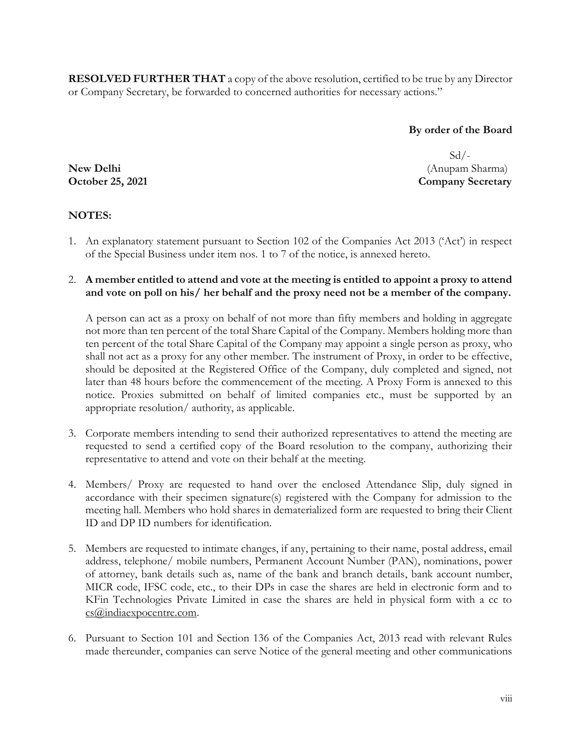**RESOLVED FURTHER THAT** a copy of the above resolution, certified to be true by any Director or Company Secretary, be forwarded to concerned authorities for necessary actions."

**By order of the Board** 

Sd/- **New Delhi** (Anupam Sharma) **October 25, 2021** Company Secretary

## **NOTES:**

- 1. An explanatory statement pursuant to Section 102 of the Companies Act 2013 ('Act') in respect of the Special Business under item nos. 1 to 7 of the notice, is annexed hereto.
- 2. **A member entitled to attend and vote at the meeting is entitled to appoint a proxy to attend and vote on poll on his/ her behalf and the proxy need not be a member of the company.**

A person can act as a proxy on behalf of not more than fifty members and holding in aggregate not more than ten percent of the total Share Capital of the Company. Members holding more than ten percent of the total Share Capital of the Company may appoint a single person as proxy, who shall not act as a proxy for any other member. The instrument of Proxy, in order to be effective, should be deposited at the Registered Office of the Company, duly completed and signed, not later than 48 hours before the commencement of the meeting. A Proxy Form is annexed to this notice. Proxies submitted on behalf of limited companies etc., must be supported by an appropriate resolution/ authority, as applicable.

- 3. Corporate members intending to send their authorized representatives to attend the meeting are requested to send a certified copy of the Board resolution to the company, authorizing their representative to attend and vote on their behalf at the meeting.
- 4. Members/ Proxy are requested to hand over the enclosed Attendance Slip, duly signed in accordance with their specimen signature(s) registered with the Company for admission to the meeting hall. Members who hold shares in dematerialized form are requested to bring their Client ID and DP ID numbers for identification.
- 5. Members are requested to intimate changes, if any, pertaining to their name, postal address, email address, telephone/ mobile numbers, Permanent Account Number (PAN), nominations, power of attorney, bank details such as, name of the bank and branch details, bank account number, MICR code, IFSC code, etc., to their DPs in case the shares are held in electronic form and to KFin Technologies Private Limited in case the shares are held in physical form with a cc to [cs@indiaexpocentre.com.](mailto:cs@indiaexpocentre.com)
- 6. Pursuant to Section 101 and Section 136 of the Companies Act, 2013 read with relevant Rules made thereunder, companies can serve Notice of the general meeting and other communications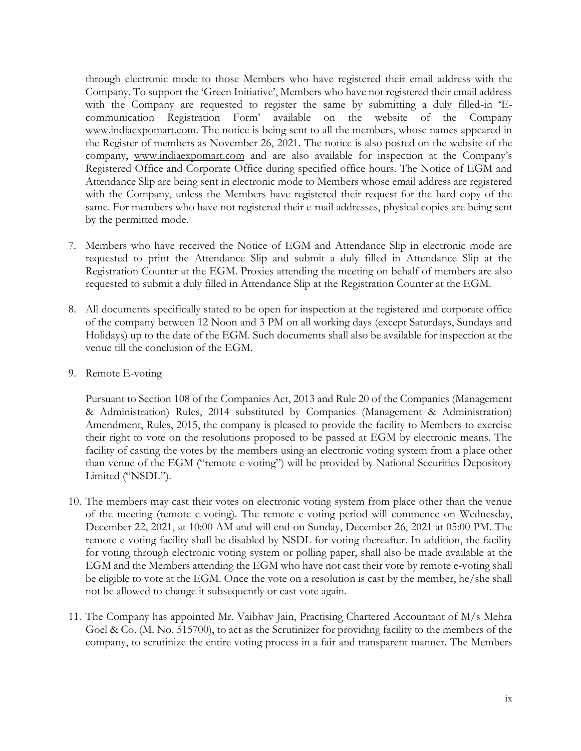through electronic mode to those Members who have registered their email address with the Company. To support the 'Green Initiative', Members who have not registered their email address with the Company are requested to register the same by submitting a duly filled-in 'Ecommunication Registration Form' available on the website of the Company [www.indiaexpomart.com.](http://www.indiaexpomart.com/) The notice is being sent to all the members, whose names appeared in the Register of members as November 26, 2021. The notice is also posted on the website of the company, [www.indiaexpomart.com](http://www.indiaexpomart.com/) and are also available for inspection at the Company's Registered Office and Corporate Office during specified office hours. The Notice of EGM and Attendance Slip are being sent in electronic mode to Members whose email address are registered with the Company, unless the Members have registered their request for the hard copy of the same. For members who have not registered their e-mail addresses, physical copies are being sent by the permitted mode.

- 7. Members who have received the Notice of EGM and Attendance Slip in electronic mode are requested to print the Attendance Slip and submit a duly filled in Attendance Slip at the Registration Counter at the EGM. Proxies attending the meeting on behalf of members are also requested to submit a duly filled in Attendance Slip at the Registration Counter at the EGM.
- 8. All documents specifically stated to be open for inspection at the registered and corporate office of the company between 12 Noon and 3 PM on all working days (except Saturdays, Sundays and Holidays) up to the date of the EGM. Such documents shall also be available for inspection at the venue till the conclusion of the EGM.
- 9. Remote E-voting

Pursuant to Section 108 of the Companies Act, 2013 and Rule 20 of the Companies (Management & Administration) Rules, 2014 substituted by Companies (Management & Administration) Amendment, Rules, 2015, the company is pleased to provide the facility to Members to exercise their right to vote on the resolutions proposed to be passed at EGM by electronic means. The facility of casting the votes by the members using an electronic voting system from a place other than venue of the EGM ("remote e-voting") will be provided by National Securities Depository Limited ("NSDL").

- 10. The members may cast their votes on electronic voting system from place other than the venue of the meeting (remote e-voting). The remote e-voting period will commence on Wednesday, December 22, 2021, at 10:00 AM and will end on Sunday, December 26, 2021 at 05:00 PM. The remote e-voting facility shall be disabled by NSDL for voting thereafter. In addition, the facility for voting through electronic voting system or polling paper, shall also be made available at the EGM and the Members attending the EGM who have not cast their vote by remote e-voting shall be eligible to vote at the EGM. Once the vote on a resolution is cast by the member, he/she shall not be allowed to change it subsequently or cast vote again.
- 11. The Company has appointed Mr. Vaibhav Jain, Practising Chartered Accountant of M/s Mehra Goel & Co. (M. No. 515700), to act as the Scrutinizer for providing facility to the members of the company, to scrutinize the entire voting process in a fair and transparent manner. The Members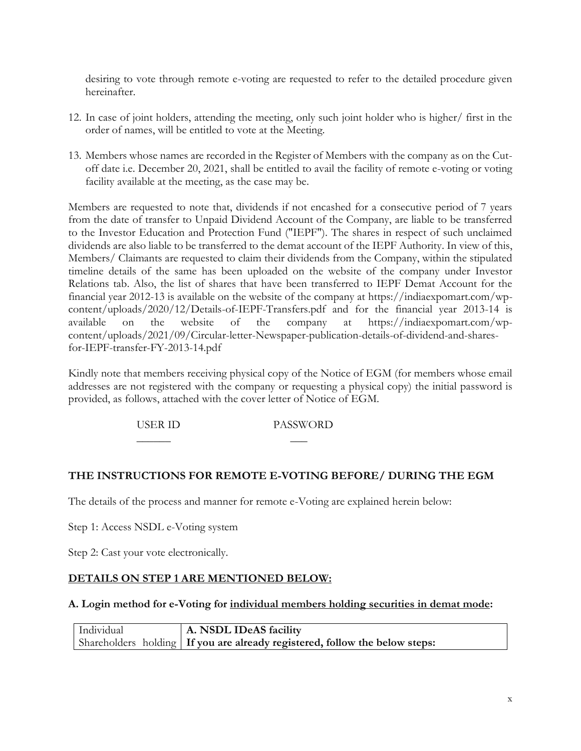desiring to vote through remote e-voting are requested to refer to the detailed procedure given hereinafter.

- 12. In case of joint holders, attending the meeting, only such joint holder who is higher/ first in the order of names, will be entitled to vote at the Meeting.
- 13. Members whose names are recorded in the Register of Members with the company as on the Cutoff date i.e. December 20, 2021, shall be entitled to avail the facility of remote e-voting or voting facility available at the meeting, as the case may be.

Members are requested to note that, dividends if not encashed for a consecutive period of 7 years from the date of transfer to Unpaid Dividend Account of the Company, are liable to be transferred to the Investor Education and Protection Fund ("IEPF"). The shares in respect of such unclaimed dividends are also liable to be transferred to the demat account of the IEPF Authority. In view of this, Members/ Claimants are requested to claim their dividends from the Company, within the stipulated timeline details of the same has been uploaded on the website of the company under Investor Relations tab. Also, the list of shares that have been transferred to IEPF Demat Account for the financial year 2012-13 is available on the website of the company at [https://indiaexpomart.com/wp](https://indiaexpomart.com/wp-content/uploads/2020/12/Details-of-IEPF-Transfers.pdf)[content/uploads/2020/12/Details-of-IEPF-Transfers.pdf](https://indiaexpomart.com/wp-content/uploads/2020/12/Details-of-IEPF-Transfers.pdf) and for the financial year 2013-14 is available on the website of the company at [https://indiaexpomart.com/wp](https://indiaexpomart.com/wp-content/uploads/2021/09/Circular-letter-Newspaper-publication-details-of-dividend-and-shares-for-IEPF-transfer-FY-2013-14.pdf)[content/uploads/2021/09/Circular-letter-Newspaper-publication-details-of-dividend-and-shares](https://indiaexpomart.com/wp-content/uploads/2021/09/Circular-letter-Newspaper-publication-details-of-dividend-and-shares-for-IEPF-transfer-FY-2013-14.pdf)[for-IEPF-transfer-FY-2013-14.pdf](https://indiaexpomart.com/wp-content/uploads/2021/09/Circular-letter-Newspaper-publication-details-of-dividend-and-shares-for-IEPF-transfer-FY-2013-14.pdf)

Kindly note that members receiving physical copy of the Notice of EGM (for members whose email addresses are not registered with the company or requesting a physical copy) the initial password is provided, as follows, attached with the cover letter of Notice of EGM.

USER ID PASSWORD

\_\_\_\_\_\_ \_\_\_

# **THE INSTRUCTIONS FOR REMOTE E-VOTING BEFORE/ DURING THE EGM**

The details of the process and manner for remote e-Voting are explained herein below:

Step 1: Access NSDL e-Voting system

Step 2: Cast your vote electronically.

### **DETAILS ON STEP 1 ARE MENTIONED BELOW:**

#### **A. Login method for e-Voting for individual members holding securities in demat mode:**

Individual Shareholders holding **A. NSDL IDeAS facility If you are already registered, follow the below steps:**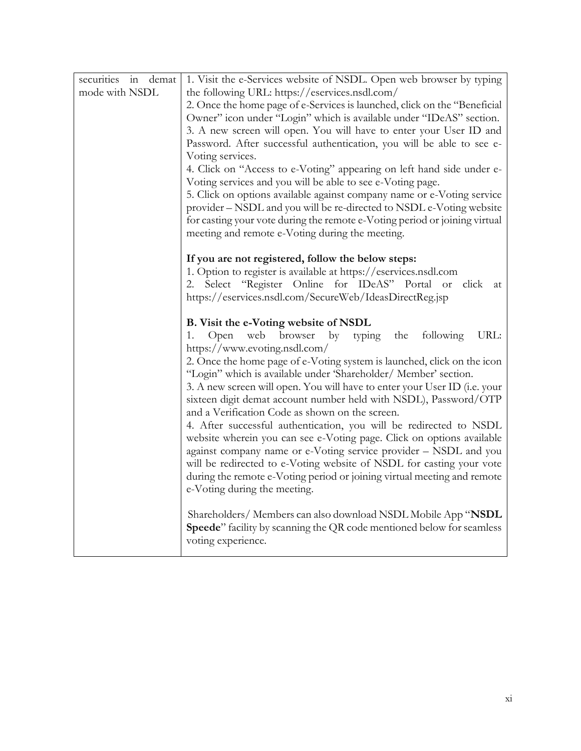| demat<br>securities in | 1. Visit the e-Services website of NSDL. Open web browser by typing                                                                 |
|------------------------|-------------------------------------------------------------------------------------------------------------------------------------|
| mode with NSDL         | the following URL: https://eservices.nsdl.com/                                                                                      |
|                        | 2. Once the home page of e-Services is launched, click on the "Beneficial                                                           |
|                        | Owner" icon under "Login" which is available under "IDeAS" section.                                                                 |
|                        | 3. A new screen will open. You will have to enter your User ID and                                                                  |
|                        | Password. After successful authentication, you will be able to see e-                                                               |
|                        | Voting services.                                                                                                                    |
|                        | 4. Click on "Access to e-Voting" appearing on left hand side under e-<br>Voting services and you will be able to see e-Voting page. |
|                        | 5. Click on options available against company name or e-Voting service                                                              |
|                        | provider - NSDL and you will be re-directed to NSDL e-Voting website                                                                |
|                        | for casting your vote during the remote e-Voting period or joining virtual<br>meeting and remote e-Voting during the meeting.       |
|                        | If you are not registered, follow the below steps:                                                                                  |
|                        | 1. Option to register is available at https://eservices.nsdl.com                                                                    |
|                        | Select "Register Online for IDeAS" Portal or<br>click<br>2.<br>at                                                                   |
|                        | https://eservices.nsdl.com/SecureWeb/IdeasDirectReg.jsp                                                                             |
|                        | B. Visit the e-Voting website of NSDL                                                                                               |
|                        | by typing<br>following<br>URL:<br>Open web browser<br>the<br>1.<br>https://www.evoting.nsdl.com/                                    |
|                        | 2. Once the home page of e-Voting system is launched, click on the icon                                                             |
|                        | "Login" which is available under 'Shareholder/ Member' section.                                                                     |
|                        | 3. A new screen will open. You will have to enter your User ID (i.e. your                                                           |
|                        | sixteen digit demat account number held with NSDL), Password/OTP                                                                    |
|                        | and a Verification Code as shown on the screen.                                                                                     |
|                        | 4. After successful authentication, you will be redirected to NSDL                                                                  |
|                        | website wherein you can see e-Voting page. Click on options available                                                               |
|                        | against company name or e-Voting service provider - NSDL and you                                                                    |
|                        | will be redirected to e-Voting website of NSDL for casting your vote                                                                |
|                        | during the remote e-Voting period or joining virtual meeting and remote                                                             |
|                        | e-Voting during the meeting.                                                                                                        |
|                        | Shareholders/ Members can also download NSDL Mobile App "NSDL"                                                                      |
|                        |                                                                                                                                     |
|                        | <b>Speede</b> " facility by scanning the QR code mentioned below for seamless                                                       |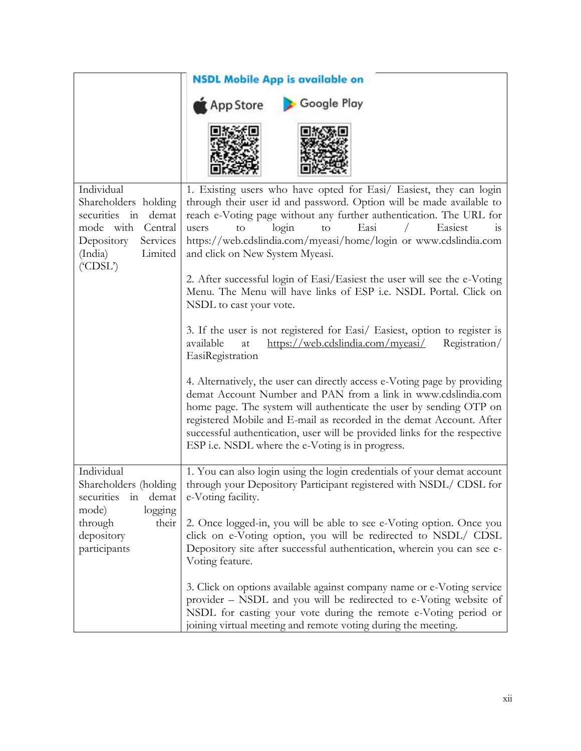|                                                                                                                                                     | <b>NSDL Mobile App is available on</b>                                                                                                                                                                                                                                                                                                                                                                                    |  |  |  |
|-----------------------------------------------------------------------------------------------------------------------------------------------------|---------------------------------------------------------------------------------------------------------------------------------------------------------------------------------------------------------------------------------------------------------------------------------------------------------------------------------------------------------------------------------------------------------------------------|--|--|--|
|                                                                                                                                                     | <b>Google Play</b><br>App Store                                                                                                                                                                                                                                                                                                                                                                                           |  |  |  |
|                                                                                                                                                     |                                                                                                                                                                                                                                                                                                                                                                                                                           |  |  |  |
| Individual<br>Shareholders holding<br>securities in demat<br>mode with<br>Central<br>Services<br>Depository<br>Limited<br>(India)<br>$($ "CDSL" $)$ | 1. Existing users who have opted for Easi/ Easiest, they can login<br>through their user id and password. Option will be made available to<br>reach e-Voting page without any further authentication. The URL for<br>login<br>Easi<br>Easiest<br>to<br>users<br>to<br>1S<br>https://web.cdslindia.com/myeasi/home/login or www.cdslindia.com<br>and click on New System Myeasi.                                           |  |  |  |
|                                                                                                                                                     | 2. After successful login of Easi/Easiest the user will see the e-Voting<br>Menu. The Menu will have links of ESP i.e. NSDL Portal. Click on<br>NSDL to cast your vote.                                                                                                                                                                                                                                                   |  |  |  |
|                                                                                                                                                     | 3. If the user is not registered for Easi/ Easiest, option to register is<br>https://web.cdslindia.com/myeasi/<br>available<br>Registration/<br>at<br>EasiRegistration                                                                                                                                                                                                                                                    |  |  |  |
|                                                                                                                                                     | 4. Alternatively, the user can directly access e-Voting page by providing<br>demat Account Number and PAN from a link in www.cdslindia.com<br>home page. The system will authenticate the user by sending OTP on<br>registered Mobile and E-mail as recorded in the demat Account. After<br>successful authentication, user will be provided links for the respective<br>ESP i.e. NSDL where the e-Voting is in progress. |  |  |  |
| Individual<br>Shareholders (holding<br>demat<br>securities<br>1n<br>logging<br>mode)<br>their<br>through<br>depository<br>participants              | 1. You can also login using the login credentials of your demat account<br>through your Depository Participant registered with NSDL/ CDSL for<br>e-Voting facility.                                                                                                                                                                                                                                                       |  |  |  |
|                                                                                                                                                     | 2. Once logged-in, you will be able to see e-Voting option. Once you<br>click on e-Voting option, you will be redirected to NSDL/ CDSL<br>Depository site after successful authentication, wherein you can see e-<br>Voting feature.                                                                                                                                                                                      |  |  |  |
|                                                                                                                                                     | 3. Click on options available against company name or e-Voting service<br>provider - NSDL and you will be redirected to e-Voting website of<br>NSDL for casting your vote during the remote e-Voting period or<br>joining virtual meeting and remote voting during the meeting.                                                                                                                                           |  |  |  |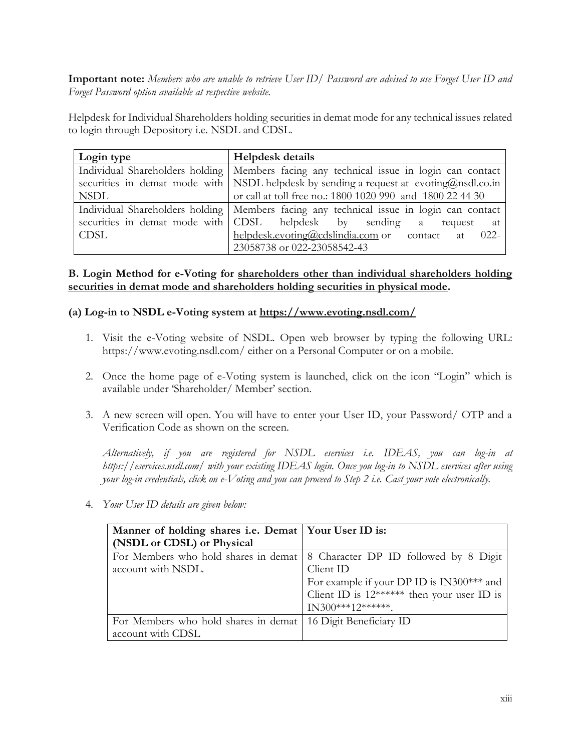**Important note:** *Members who are unable to retrieve User ID/ Password are advised to use Forget User ID and Forget Password option available at respective website.*

Helpdesk for Individual Shareholders holding securities in demat mode for any technical issues related to login through Depository i.e. NSDL and CDSL.

| Login type  | <b>Helpdesk details</b>                                                                   |
|-------------|-------------------------------------------------------------------------------------------|
|             | Individual Shareholders holding   Members facing any technical issue in login can contact |
|             | securities in demat mode with   NSDL helpdesk by sending a request at evoting@nsdl.co.in  |
| <b>NSDL</b> | or call at toll free no.: 1800 1020 990 and 1800 22 44 30                                 |
|             | Individual Shareholders holding   Members facing any technical issue in login can contact |
|             | securities in demat mode with CDSL helpdesk by sending a<br>request at                    |
| <b>CDSL</b> | helpdesk.evoting@cdslindia.com or contact at 022-                                         |
|             | 23058738 or 022-23058542-43                                                               |

## **B. Login Method for e-Voting for shareholders other than individual shareholders holding securities in demat mode and shareholders holding securities in physical mode.**

### **(a) Log-in to NSDL e-Voting system at<https://www.evoting.nsdl.com/>**

- 1. Visit the e-Voting website of NSDL. Open web browser by typing the following URL: https://www.evoting.nsdl.com/ either on a Personal Computer or on a mobile.
- 2. Once the home page of e-Voting system is launched, click on the icon "Login" which is available under 'Shareholder/ Member' section.
- 3. A new screen will open. You will have to enter your User ID, your Password/ OTP and a Verification Code as shown on the screen.

*Alternatively, if you are registered for NSDL eservices i.e. IDEAS, you can log-in at https://eservices.nsdl.com/ with your existing IDEAS login. Once you log-in to NSDL eservices after using your log-in credentials, click on e-Voting and you can proceed to Step 2 i.e. Cast your vote electronically.*

| Manner of holding shares i.e. Demat   Your User ID is:         |                                                                              |  |  |
|----------------------------------------------------------------|------------------------------------------------------------------------------|--|--|
| (NSDL or CDSL) or Physical                                     |                                                                              |  |  |
|                                                                | For Members who hold shares in demat   8 Character DP ID followed by 8 Digit |  |  |
| account with NSDL.                                             | Client ID                                                                    |  |  |
|                                                                | For example if your DP ID is IN300*** and                                    |  |  |
|                                                                | Client ID is 12****** then your user ID is                                   |  |  |
|                                                                | $IN300***12******$                                                           |  |  |
| For Members who hold shares in demat   16 Digit Beneficiary ID |                                                                              |  |  |
| account with CDSL                                              |                                                                              |  |  |

4. *Your User ID details are given below:*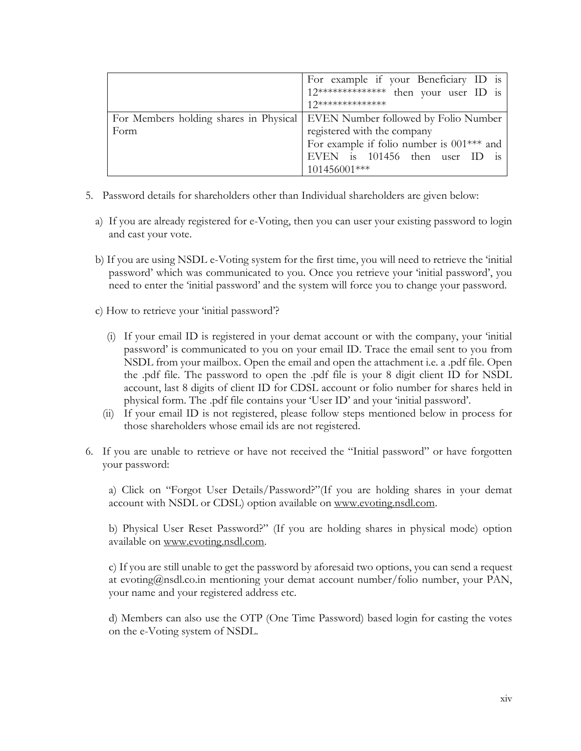|      | For example if your Beneficiary ID is<br>12************** then your user ID is<br>1 7**************                                                                                                         |
|------|-------------------------------------------------------------------------------------------------------------------------------------------------------------------------------------------------------------|
| Form | For Members holding shares in Physical   EVEN Number followed by Folio Number<br>registered with the company<br>For example if folio number is 001*** and<br>EVEN is 101456 then user ID is<br>101456001*** |

- 5. Password details for shareholders other than Individual shareholders are given below:
	- a) If you are already registered for e-Voting, then you can user your existing password to login and cast your vote.
	- b) If you are using NSDL e-Voting system for the first time, you will need to retrieve the 'initial password' which was communicated to you. Once you retrieve your 'initial password', you need to enter the 'initial password' and the system will force you to change your password.
	- c) How to retrieve your 'initial password'?
		- (i) If your email ID is registered in your demat account or with the company, your 'initial password' is communicated to you on your email ID. Trace the email sent to you from NSDL from your mailbox. Open the email and open the attachment i.e. a .pdf file. Open the .pdf file. The password to open the .pdf file is your 8 digit client ID for NSDL account, last 8 digits of client ID for CDSL account or folio number for shares held in physical form. The .pdf file contains your 'User ID' and your 'initial password'.
		- (ii) If your email ID is not registered, please follow steps mentioned below in process for those shareholders whose email ids are not registered.
- 6. If you are unable to retrieve or have not received the "Initial password" or have forgotten your password:

a) Click on "Forgot User Details/Password?"(If you are holding shares in your demat account with NSDL or CDSL) option available on [www.evoting.nsdl.com.](http://www.evoting.nsdl.com/)

b) Physical User Reset Password?" (If you are holding shares in physical mode) option available on [www.evoting.nsdl.com.](http://www.evoting.nsdl.com/)

c) If you are still unable to get the password by aforesaid two options, you can send a request at evoting@nsdl.co.in mentioning your demat account number/folio number, your PAN, your name and your registered address etc.

d) Members can also use the OTP (One Time Password) based login for casting the votes on the e-Voting system of NSDL.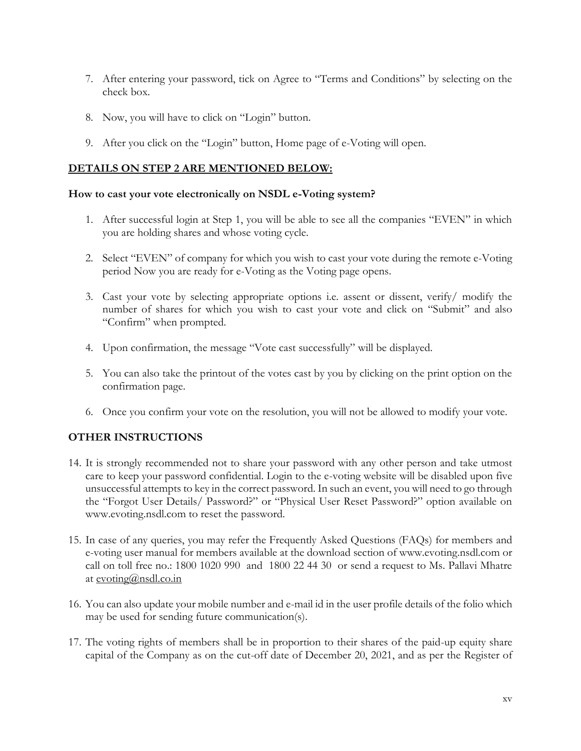- 7. After entering your password, tick on Agree to "Terms and Conditions" by selecting on the check box.
- 8. Now, you will have to click on "Login" button.
- 9. After you click on the "Login" button, Home page of e-Voting will open.

## **DETAILS ON STEP 2 ARE MENTIONED BELOW:**

#### **How to cast your vote electronically on NSDL e-Voting system?**

- 1. After successful login at Step 1, you will be able to see all the companies "EVEN" in which you are holding shares and whose voting cycle.
- 2. Select "EVEN" of company for which you wish to cast your vote during the remote e-Voting period Now you are ready for e-Voting as the Voting page opens.
- 3. Cast your vote by selecting appropriate options i.e. assent or dissent, verify/ modify the number of shares for which you wish to cast your vote and click on "Submit" and also "Confirm" when prompted.
- 4. Upon confirmation, the message "Vote cast successfully" will be displayed.
- 5. You can also take the printout of the votes cast by you by clicking on the print option on the confirmation page.
- 6. Once you confirm your vote on the resolution, you will not be allowed to modify your vote.

## **OTHER INSTRUCTIONS**

- 14. It is strongly recommended not to share your password with any other person and take utmost care to keep your password confidential. Login to the e-voting website will be disabled upon five unsuccessful attempts to key in the correct password. In such an event, you will need to go through the "Forgot User Details/ Password?" or "Physical User Reset Password?" option available on www.evoting.nsdl.com to reset the password.
- 15. In case of any queries, you may refer the Frequently Asked Questions (FAQs) for members and e-voting user manual for members available at the download section of www.evoting.nsdl.com or call on toll free no.: 1800 1020 990 and 1800 22 44 30 or send a request to Ms. Pallavi Mhatre at [evoting@nsdl.co.in](mailto:evoting@nsdl.co.in)
- 16. You can also update your mobile number and e-mail id in the user profile details of the folio which may be used for sending future communication(s).
- 17. The voting rights of members shall be in proportion to their shares of the paid-up equity share capital of the Company as on the cut-off date of December 20, 2021, and as per the Register of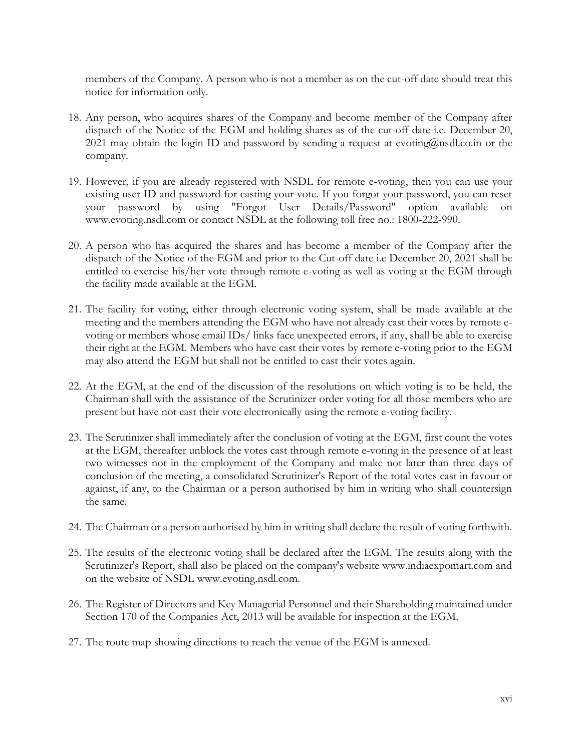members of the Company. A person who is not a member as on the cut-off date should treat this notice for information only.

- 18. Any person, who acquires shares of the Company and become member of the Company after dispatch of the Notice of the EGM and holding shares as of the cut-off date i.e. December 20, 2021 may obtain the login ID and password by sending a request at evoting $@n$ sdl.co.in or the company.
- 19. However, if you are already registered with NSDL for remote e-voting, then you can use your existing user ID and password for casting your vote. If you forgot your password, you can reset your password by using "Forgot User Details/Password" option available on www.evoting.nsdl.com or contact NSDL at the following toll free no.: 1800-222-990.
- 20. A person who has acquired the shares and has become a member of the Company after the dispatch of the Notice of the EGM and prior to the Cut-off date i.e December 20, 2021 shall be entitled to exercise his/her vote through remote e-voting as well as voting at the EGM through the facility made available at the EGM.
- 21. The facility for voting, either through electronic voting system, shall be made available at the meeting and the members attending the EGM who have not already cast their votes by remote evoting or members whose email IDs/ links face unexpected errors, if any, shall be able to exercise their right at the EGM. Members who have cast their votes by remote e-voting prior to the EGM may also attend the EGM but shall not be entitled to cast their votes again.
- 22. At the EGM, at the end of the discussion of the resolutions on which voting is to be held, the Chairman shall with the assistance of the Scrutinizer order voting for all those members who are present but have not cast their vote electronically using the remote e-voting facility.
- 23. The Scrutinizer shall immediately after the conclusion of voting at the EGM, first count the votes at the EGM, thereafter unblock the votes cast through remote e-voting in the presence of at least two witnesses not in the employment of the Company and make not later than three days of conclusion of the meeting, a consolidated Scrutinizer's Report of the total votes cast in favour or against, if any, to the Chairman or a person authorised by him in writing who shall countersign the same.
- 24. The Chairman or a person authorised by him in writing shall declare the result of voting forthwith.
- 25. The results of the electronic voting shall be declared after the EGM. The results along with the Scrutinizer's Report, shall also be placed on the company's website www.indiaexpomart.com and on the website of NSDL [www.evoting.nsdl.com.](http://www.evoting.nsdl.com/)
- 26. The Register of Directors and Key Managerial Personnel and their Shareholding maintained under Section 170 of the Companies Act, 2013 will be available for inspection at the EGM.
- 27. The route map showing directions to reach the venue of the EGM is annexed.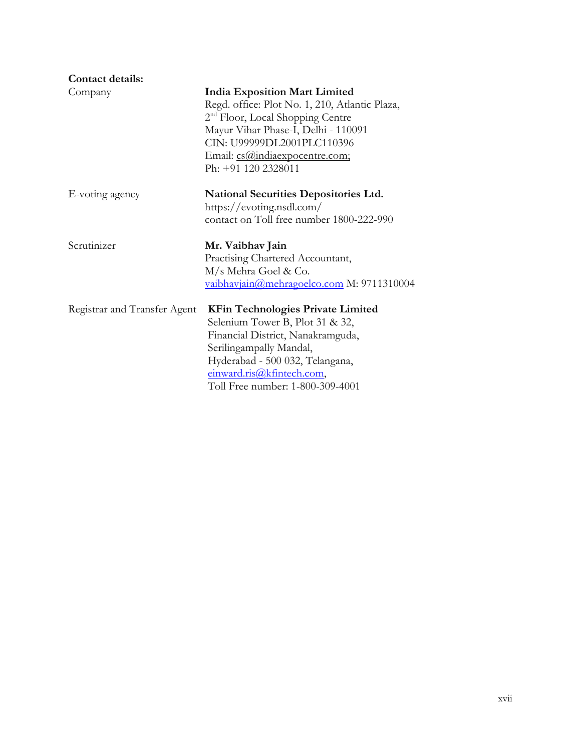| <b>Contact details:</b>      |                                                                                                                                                                                                                                                                      |
|------------------------------|----------------------------------------------------------------------------------------------------------------------------------------------------------------------------------------------------------------------------------------------------------------------|
| Company                      | <b>India Exposition Mart Limited</b><br>Regd. office: Plot No. 1, 210, Atlantic Plaza,<br>2 <sup>nd</sup> Floor, Local Shopping Centre<br>Mayur Vihar Phase-I, Delhi - 110091<br>CIN: U99999DL2001PLC110396<br>Email: cs@indiaexpocentre.com;<br>Ph: +91 120 2328011 |
| E-voting agency              | <b>National Securities Depositories Ltd.</b><br>https://evoting.nsdl.com/<br>contact on Toll free number 1800-222-990                                                                                                                                                |
| Scrutinizer                  | Mr. Vaibhav Jain<br>Practising Chartered Accountant,<br>M/s Mehra Goel & Co.<br>vaibhavjain@mehragoelco.com M: 9711310004                                                                                                                                            |
| Registrar and Transfer Agent | <b>KFin Technologies Private Limited</b><br>Selenium Tower B, Plot 31 & 32,<br>Financial District, Nanakramguda,<br>Serilingampally Mandal,<br>Hyderabad - 500 032, Telangana,<br>einward.ris@kfintech.com,<br>Toll Free number: 1-800-309-4001                      |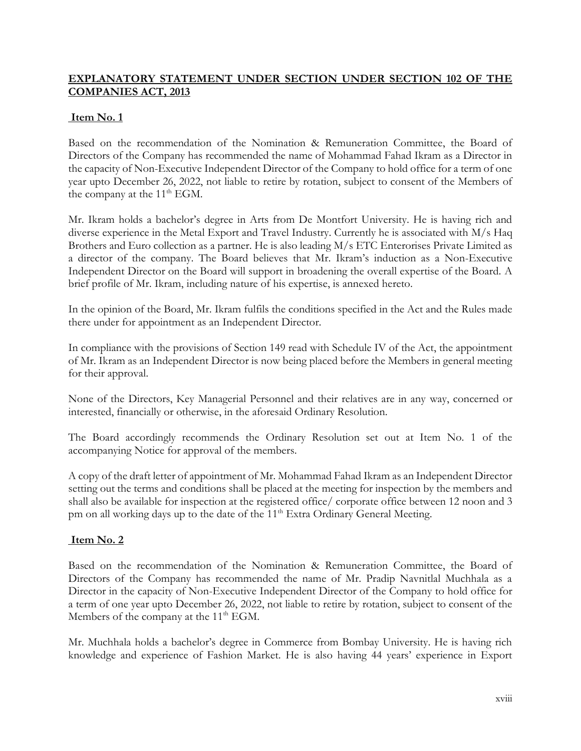## **EXPLANATORY STATEMENT UNDER SECTION UNDER SECTION 102 OF THE COMPANIES ACT, 2013**

## **Item No. 1**

Based on the recommendation of the Nomination & Remuneration Committee, the Board of Directors of the Company has recommended the name of Mohammad Fahad Ikram as a Director in the capacity of Non-Executive Independent Director of the Company to hold office for a term of one year upto December 26, 2022, not liable to retire by rotation, subject to consent of the Members of the company at the 11<sup>th</sup> EGM.

Mr. Ikram holds a bachelor's degree in Arts from De Montfort University. He is having rich and diverse experience in the Metal Export and Travel Industry. Currently he is associated with M/s Haq Brothers and Euro collection as a partner. He is also leading M/s ETC Enterorises Private Limited as a director of the company. The Board believes that Mr. Ikram's induction as a Non-Executive Independent Director on the Board will support in broadening the overall expertise of the Board. A brief profile of Mr. Ikram, including nature of his expertise, is annexed hereto.

In the opinion of the Board, Mr. Ikram fulfils the conditions specified in the Act and the Rules made there under for appointment as an Independent Director.

In compliance with the provisions of Section 149 read with Schedule IV of the Act, the appointment of Mr. Ikram as an Independent Director is now being placed before the Members in general meeting for their approval.

None of the Directors, Key Managerial Personnel and their relatives are in any way, concerned or interested, financially or otherwise, in the aforesaid Ordinary Resolution.

The Board accordingly recommends the Ordinary Resolution set out at Item No. 1 of the accompanying Notice for approval of the members.

A copy of the draft letter of appointment of Mr. Mohammad Fahad Ikram as an Independent Director setting out the terms and conditions shall be placed at the meeting for inspection by the members and shall also be available for inspection at the registered office/ corporate office between 12 noon and 3 pm on all working days up to the date of the 11<sup>th</sup> Extra Ordinary General Meeting.

### **Item No. 2**

Based on the recommendation of the Nomination & Remuneration Committee, the Board of Directors of the Company has recommended the name of Mr. Pradip Navnitlal Muchhala as a Director in the capacity of Non-Executive Independent Director of the Company to hold office for a term of one year upto December 26, 2022, not liable to retire by rotation, subject to consent of the Members of the company at the  $11<sup>th</sup> EGM$ .

Mr. Muchhala holds a bachelor's degree in Commerce from Bombay University. He is having rich knowledge and experience of Fashion Market. He is also having 44 years' experience in Export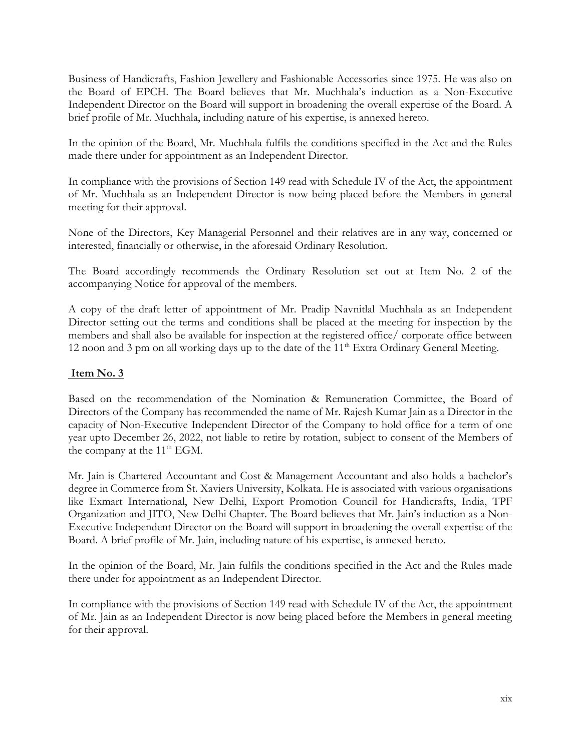Business of Handicrafts, Fashion Jewellery and Fashionable Accessories since 1975. He was also on the Board of EPCH. The Board believes that Mr. Muchhala's induction as a Non-Executive Independent Director on the Board will support in broadening the overall expertise of the Board. A brief profile of Mr. Muchhala, including nature of his expertise, is annexed hereto.

In the opinion of the Board, Mr. Muchhala fulfils the conditions specified in the Act and the Rules made there under for appointment as an Independent Director.

In compliance with the provisions of Section 149 read with Schedule IV of the Act, the appointment of Mr. Muchhala as an Independent Director is now being placed before the Members in general meeting for their approval.

None of the Directors, Key Managerial Personnel and their relatives are in any way, concerned or interested, financially or otherwise, in the aforesaid Ordinary Resolution.

The Board accordingly recommends the Ordinary Resolution set out at Item No. 2 of the accompanying Notice for approval of the members.

A copy of the draft letter of appointment of Mr. Pradip Navnitlal Muchhala as an Independent Director setting out the terms and conditions shall be placed at the meeting for inspection by the members and shall also be available for inspection at the registered office/ corporate office between 12 noon and 3 pm on all working days up to the date of the  $11<sup>th</sup>$  Extra Ordinary General Meeting.

## **Item No. 3**

Based on the recommendation of the Nomination & Remuneration Committee, the Board of Directors of the Company has recommended the name of Mr. Rajesh Kumar Jain as a Director in the capacity of Non-Executive Independent Director of the Company to hold office for a term of one year upto December 26, 2022, not liable to retire by rotation, subject to consent of the Members of the company at the 11<sup>th</sup> EGM.

Mr. Jain is Chartered Accountant and Cost & Management Accountant and also holds a bachelor's degree in Commerce from St. Xaviers University, Kolkata. He is associated with various organisations like Exmart International, New Delhi, Export Promotion Council for Handicrafts, India, TPF Organization and JITO, New Delhi Chapter. The Board believes that Mr. Jain's induction as a Non-Executive Independent Director on the Board will support in broadening the overall expertise of the Board. A brief profile of Mr. Jain, including nature of his expertise, is annexed hereto.

In the opinion of the Board, Mr. Jain fulfils the conditions specified in the Act and the Rules made there under for appointment as an Independent Director.

In compliance with the provisions of Section 149 read with Schedule IV of the Act, the appointment of Mr. Jain as an Independent Director is now being placed before the Members in general meeting for their approval.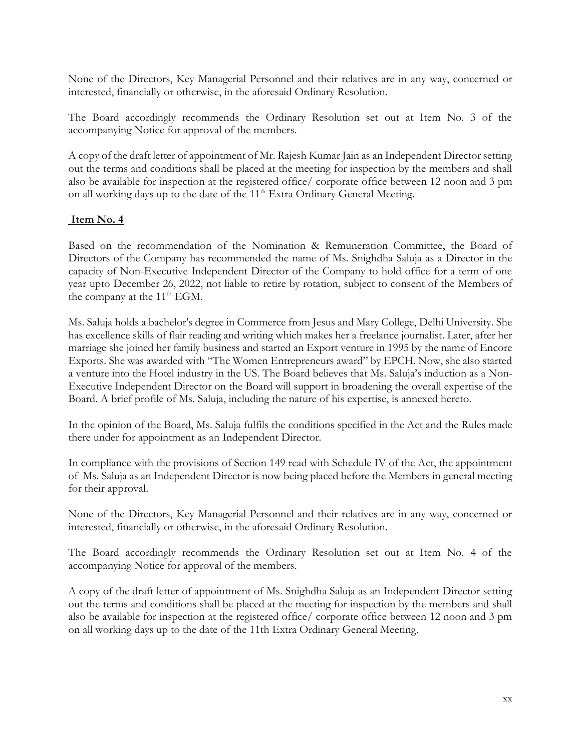None of the Directors, Key Managerial Personnel and their relatives are in any way, concerned or interested, financially or otherwise, in the aforesaid Ordinary Resolution.

The Board accordingly recommends the Ordinary Resolution set out at Item No. 3 of the accompanying Notice for approval of the members.

A copy of the draft letter of appointment of Mr. Rajesh Kumar Jain as an Independent Director setting out the terms and conditions shall be placed at the meeting for inspection by the members and shall also be available for inspection at the registered office/ corporate office between 12 noon and 3 pm on all working days up to the date of the 11<sup>th</sup> Extra Ordinary General Meeting.

## **Item No. 4**

Based on the recommendation of the Nomination & Remuneration Committee, the Board of Directors of the Company has recommended the name of Ms. Snighdha Saluja as a Director in the capacity of Non-Executive Independent Director of the Company to hold office for a term of one year upto December 26, 2022, not liable to retire by rotation, subject to consent of the Members of the company at the 11<sup>th</sup> EGM.

Ms. Saluja holds a bachelor's degree in Commerce from Jesus and Mary College, Delhi University. She has excellence skills of flair reading and writing which makes her a freelance journalist. Later, after her marriage she joined her family business and started an Export venture in 1995 by the name of Encore Exports. She was awarded with "The Women Entrepreneurs award" by EPCH. Now, she also started a venture into the Hotel industry in the US. The Board believes that Ms. Saluja's induction as a Non-Executive Independent Director on the Board will support in broadening the overall expertise of the Board. A brief profile of Ms. Saluja, including the nature of his expertise, is annexed hereto.

In the opinion of the Board, Ms. Saluja fulfils the conditions specified in the Act and the Rules made there under for appointment as an Independent Director.

In compliance with the provisions of Section 149 read with Schedule IV of the Act, the appointment of Ms. Saluja as an Independent Director is now being placed before the Members in general meeting for their approval.

None of the Directors, Key Managerial Personnel and their relatives are in any way, concerned or interested, financially or otherwise, in the aforesaid Ordinary Resolution.

The Board accordingly recommends the Ordinary Resolution set out at Item No. 4 of the accompanying Notice for approval of the members.

A copy of the draft letter of appointment of Ms. Snighdha Saluja as an Independent Director setting out the terms and conditions shall be placed at the meeting for inspection by the members and shall also be available for inspection at the registered office/ corporate office between 12 noon and 3 pm on all working days up to the date of the 11th Extra Ordinary General Meeting.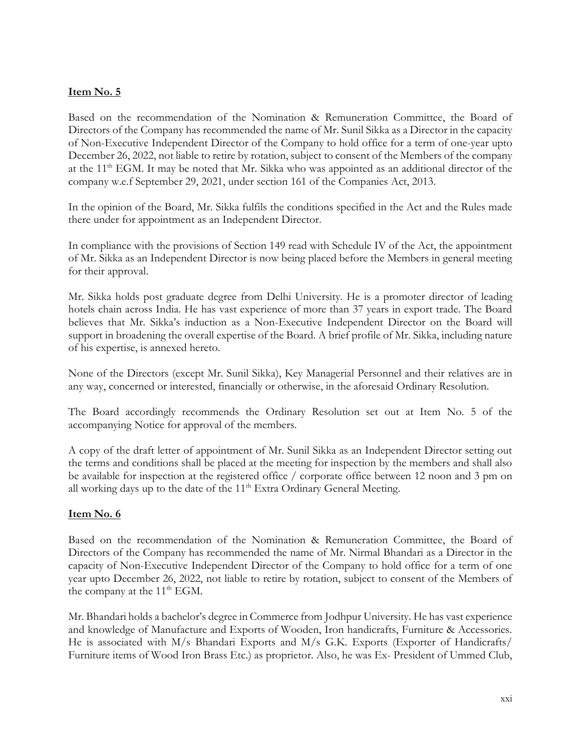## **Item No. 5**

Based on the recommendation of the Nomination & Remuneration Committee, the Board of Directors of the Company has recommended the name of Mr. Sunil Sikka as a Director in the capacity of Non-Executive Independent Director of the Company to hold office for a term of one-year upto December 26, 2022, not liable to retire by rotation, subject to consent of the Members of the company at the 11<sup>th</sup> EGM. It may be noted that Mr. Sikka who was appointed as an additional director of the company w.e.f September 29, 2021, under section 161 of the Companies Act, 2013.

In the opinion of the Board, Mr. Sikka fulfils the conditions specified in the Act and the Rules made there under for appointment as an Independent Director.

In compliance with the provisions of Section 149 read with Schedule IV of the Act, the appointment of Mr. Sikka as an Independent Director is now being placed before the Members in general meeting for their approval.

Mr. Sikka holds post graduate degree from Delhi University. He is a promoter director of leading hotels chain across India. He has vast experience of more than 37 years in export trade. The Board believes that Mr. Sikka's induction as a Non-Executive Independent Director on the Board will support in broadening the overall expertise of the Board. A brief profile of Mr. Sikka, including nature of his expertise, is annexed hereto.

None of the Directors (except Mr. Sunil Sikka), Key Managerial Personnel and their relatives are in any way, concerned or interested, financially or otherwise, in the aforesaid Ordinary Resolution.

The Board accordingly recommends the Ordinary Resolution set out at Item No. 5 of the accompanying Notice for approval of the members.

A copy of the draft letter of appointment of Mr. Sunil Sikka as an Independent Director setting out the terms and conditions shall be placed at the meeting for inspection by the members and shall also be available for inspection at the registered office / corporate office between 12 noon and 3 pm on all working days up to the date of the  $11<sup>th</sup>$  Extra Ordinary General Meeting.

### **Item No. 6**

Based on the recommendation of the Nomination & Remuneration Committee, the Board of Directors of the Company has recommended the name of Mr. Nirmal Bhandari as a Director in the capacity of Non-Executive Independent Director of the Company to hold office for a term of one year upto December 26, 2022, not liable to retire by rotation, subject to consent of the Members of the company at the 11<sup>th</sup> EGM.

Mr. Bhandari holds a bachelor's degree in Commerce from Jodhpur University. He has vast experience and knowledge of Manufacture and Exports of Wooden, Iron handicrafts, Furniture & Accessories. He is associated with M/s Bhandari Exports and M/s G.K. Exports (Exporter of Handicrafts/ Furniture items of Wood Iron Brass Etc.) as proprietor. Also, he was Ex- President of Ummed Club,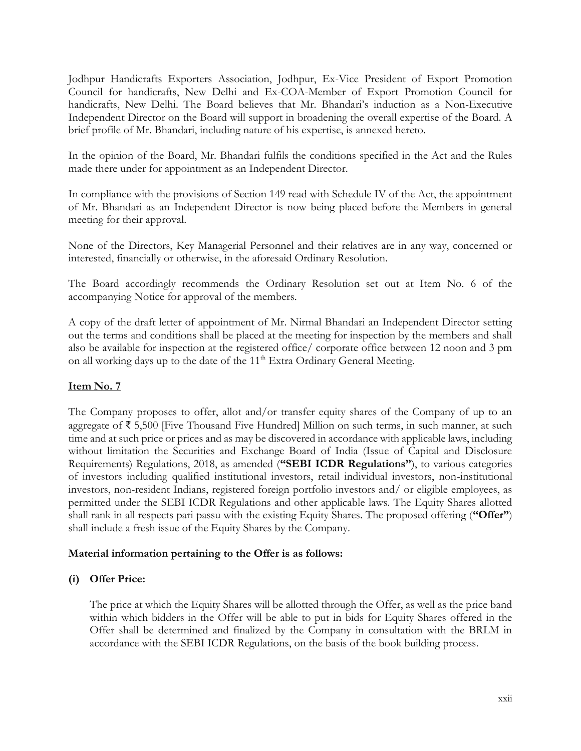Jodhpur Handicrafts Exporters Association, Jodhpur, Ex-Vice President of Export Promotion Council for handicrafts, New Delhi and Ex-COA-Member of Export Promotion Council for handicrafts, New Delhi. The Board believes that Mr. Bhandari's induction as a Non-Executive Independent Director on the Board will support in broadening the overall expertise of the Board. A brief profile of Mr. Bhandari, including nature of his expertise, is annexed hereto.

In the opinion of the Board, Mr. Bhandari fulfils the conditions specified in the Act and the Rules made there under for appointment as an Independent Director.

In compliance with the provisions of Section 149 read with Schedule IV of the Act, the appointment of Mr. Bhandari as an Independent Director is now being placed before the Members in general meeting for their approval.

None of the Directors, Key Managerial Personnel and their relatives are in any way, concerned or interested, financially or otherwise, in the aforesaid Ordinary Resolution.

The Board accordingly recommends the Ordinary Resolution set out at Item No. 6 of the accompanying Notice for approval of the members.

A copy of the draft letter of appointment of Mr. Nirmal Bhandari an Independent Director setting out the terms and conditions shall be placed at the meeting for inspection by the members and shall also be available for inspection at the registered office/ corporate office between 12 noon and 3 pm on all working days up to the date of the 11<sup>th</sup> Extra Ordinary General Meeting.

### **Item No. 7**

The Company proposes to offer, allot and/or transfer equity shares of the Company of up to an aggregate of ₹ 5,500 [Five Thousand Five Hundred] Million on such terms, in such manner, at such time and at such price or prices and as may be discovered in accordance with applicable laws, including without limitation the Securities and Exchange Board of India (Issue of Capital and Disclosure Requirements) Regulations, 2018, as amended (**"SEBI ICDR Regulations"**), to various categories of investors including qualified institutional investors, retail individual investors, non-institutional investors, non-resident Indians, registered foreign portfolio investors and/ or eligible employees, as permitted under the SEBI ICDR Regulations and other applicable laws. The Equity Shares allotted shall rank in all respects pari passu with the existing Equity Shares. The proposed offering (**"Offer"**) shall include a fresh issue of the Equity Shares by the Company.

### **Material information pertaining to the Offer is as follows:**

### **(i) Offer Price:**

The price at which the Equity Shares will be allotted through the Offer, as well as the price band within which bidders in the Offer will be able to put in bids for Equity Shares offered in the Offer shall be determined and finalized by the Company in consultation with the BRLM in accordance with the SEBI ICDR Regulations, on the basis of the book building process.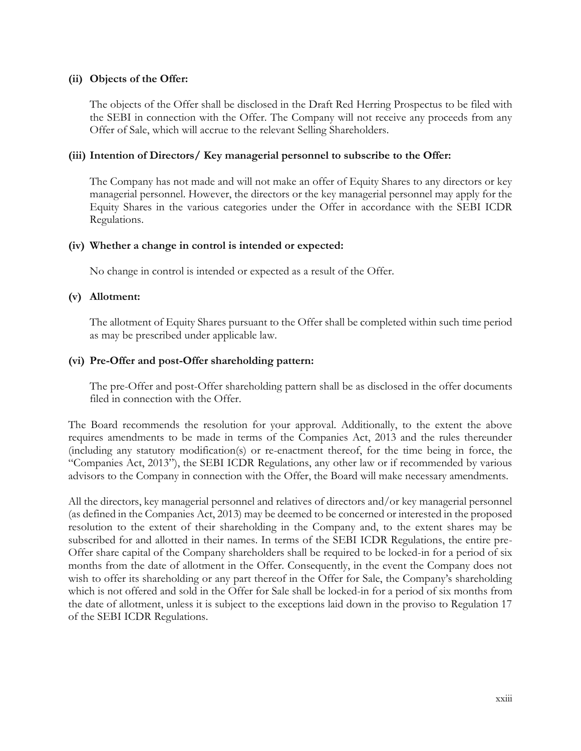### **(ii) Objects of the Offer:**

The objects of the Offer shall be disclosed in the Draft Red Herring Prospectus to be filed with the SEBI in connection with the Offer. The Company will not receive any proceeds from any Offer of Sale, which will accrue to the relevant Selling Shareholders.

#### **(iii) Intention of Directors/ Key managerial personnel to subscribe to the Offer:**

The Company has not made and will not make an offer of Equity Shares to any directors or key managerial personnel. However, the directors or the key managerial personnel may apply for the Equity Shares in the various categories under the Offer in accordance with the SEBI ICDR Regulations.

#### **(iv) Whether a change in control is intended or expected:**

No change in control is intended or expected as a result of the Offer.

#### **(v) Allotment:**

The allotment of Equity Shares pursuant to the Offer shall be completed within such time period as may be prescribed under applicable law.

#### **(vi) Pre-Offer and post-Offer shareholding pattern:**

The pre-Offer and post-Offer shareholding pattern shall be as disclosed in the offer documents filed in connection with the Offer.

The Board recommends the resolution for your approval. Additionally, to the extent the above requires amendments to be made in terms of the Companies Act, 2013 and the rules thereunder (including any statutory modification(s) or re-enactment thereof, for the time being in force, the "Companies Act, 2013"), the SEBI ICDR Regulations, any other law or if recommended by various advisors to the Company in connection with the Offer, the Board will make necessary amendments.

All the directors, key managerial personnel and relatives of directors and/or key managerial personnel (as defined in the Companies Act, 2013) may be deemed to be concerned or interested in the proposed resolution to the extent of their shareholding in the Company and, to the extent shares may be subscribed for and allotted in their names. In terms of the SEBI ICDR Regulations, the entire pre-Offer share capital of the Company shareholders shall be required to be locked-in for a period of six months from the date of allotment in the Offer. Consequently, in the event the Company does not wish to offer its shareholding or any part thereof in the Offer for Sale, the Company's shareholding which is not offered and sold in the Offer for Sale shall be locked-in for a period of six months from the date of allotment, unless it is subject to the exceptions laid down in the proviso to Regulation 17 of the SEBI ICDR Regulations.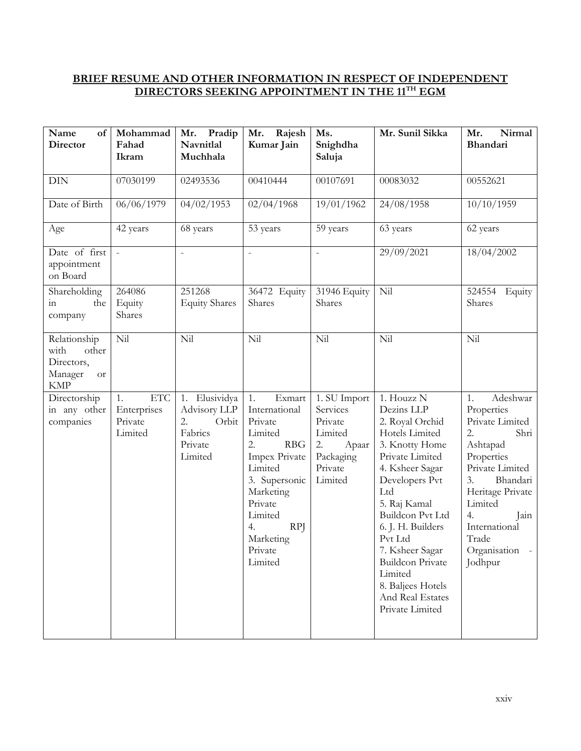## **BRIEF RESUME AND OTHER INFORMATION IN RESPECT OF INDEPENDENT DIRECTORS SEEKING APPOINTMENT IN THE 11TH EGM**

| Name<br>of<br><b>Director</b>                                                     | Mohammad<br>Fahad<br>Ikram                            | Pradip<br>Mr.<br>Navnitlal<br>Muchhala                                           | Rajesh<br>Mr.<br>Kumar Jain                                                                                                                                                                                    | Ms.<br>Snighdha<br>Saluja                                                                        | Mr. Sunil Sikka                                                                                                                                                                                                                                                                                                                         | Nirmal<br>Mr.<br>Bhandari                                                                                                                                                                                                      |
|-----------------------------------------------------------------------------------|-------------------------------------------------------|----------------------------------------------------------------------------------|----------------------------------------------------------------------------------------------------------------------------------------------------------------------------------------------------------------|--------------------------------------------------------------------------------------------------|-----------------------------------------------------------------------------------------------------------------------------------------------------------------------------------------------------------------------------------------------------------------------------------------------------------------------------------------|--------------------------------------------------------------------------------------------------------------------------------------------------------------------------------------------------------------------------------|
| <b>DIN</b>                                                                        | 07030199                                              | 02493536                                                                         | 00410444                                                                                                                                                                                                       | 00107691                                                                                         | 00083032                                                                                                                                                                                                                                                                                                                                | 00552621                                                                                                                                                                                                                       |
| Date of Birth                                                                     | 06/06/1979                                            | 04/02/1953                                                                       | 02/04/1968                                                                                                                                                                                                     | 19/01/1962                                                                                       | 24/08/1958                                                                                                                                                                                                                                                                                                                              | 10/10/1959                                                                                                                                                                                                                     |
| Age                                                                               | 42 years                                              | 68 years                                                                         | 53 years                                                                                                                                                                                                       | 59 years                                                                                         | 63 years                                                                                                                                                                                                                                                                                                                                | 62 years                                                                                                                                                                                                                       |
| Date of first<br>appointment<br>on Board                                          | $\equiv$                                              | $\bar{\phantom{a}}$                                                              | $\frac{1}{2}$                                                                                                                                                                                                  | $\overline{a}$                                                                                   | 29/09/2021                                                                                                                                                                                                                                                                                                                              | 18/04/2002                                                                                                                                                                                                                     |
| Shareholding<br>in<br>the<br>company                                              | 264086<br>Equity<br>Shares                            | 251268<br><b>Equity Shares</b>                                                   | 36472 Equity<br>Shares                                                                                                                                                                                         | 31946 Equity<br>Shares                                                                           | Nil                                                                                                                                                                                                                                                                                                                                     | 524554<br>Equity<br>Shares                                                                                                                                                                                                     |
| Relationship<br>with<br>other<br>Directors,<br>Manager<br><b>or</b><br><b>KMP</b> | Nil                                                   | Nil                                                                              | Nil                                                                                                                                                                                                            | Nil                                                                                              | Nil                                                                                                                                                                                                                                                                                                                                     | Nil                                                                                                                                                                                                                            |
| Directorship<br>in any other<br>companies                                         | <b>ETC</b><br>1.<br>Enterprises<br>Private<br>Limited | Elusividya<br>1.<br>Advisory LLP<br>2.<br>Orbit<br>Fabrics<br>Private<br>Limited | Exmart<br>1.<br>International<br>Private<br>Limited<br><b>RBG</b><br>2.<br>Impex Private<br>Limited<br>3. Supersonic<br>Marketing<br>Private<br>Limited<br>4.<br><b>RPJ</b><br>Marketing<br>Private<br>Limited | 1. SU Import<br>Services<br>Private<br>Limited<br>Apaar<br>2.<br>Packaging<br>Private<br>Limited | 1. Houzz N<br>Dezins LLP<br>2. Royal Orchid<br>Hotels Limited<br>3. Knotty Home<br>Private Limited<br>4. Ksheer Sagar<br>Developers Pvt<br>Ltd<br>5. Raj Kamal<br>Buildcon Pvt Ltd<br>6. J. H. Builders<br>Pvt Ltd<br>7. Ksheer Sagar<br><b>Buildcon Private</b><br>Limited<br>8. Baljees Hotels<br>And Real Estates<br>Private Limited | Adeshwar<br>1.<br>Properties<br>Private Limited<br>2.<br>Shri<br>Ashtapad<br>Properties<br>Private Limited<br>Bhandari<br>3.<br>Heritage Private<br>Limited<br>4.<br>Jain<br>International<br>Trade<br>Organisation<br>Jodhpur |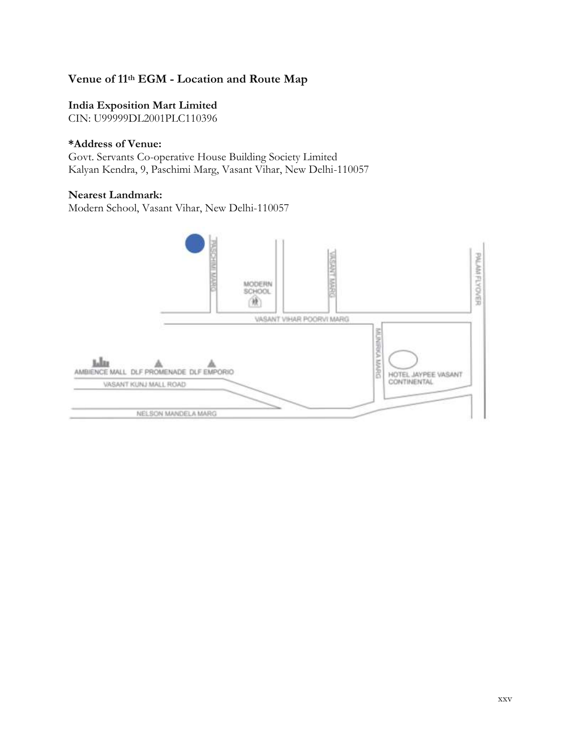# **Venue of 11th EGM - Location and Route Map**

## **India Exposition Mart Limited**

CIN: U99999DL2001PLC110396

#### **\*Address of Venue:**

Govt. Servants Co-operative House Building Society Limited Kalyan Kendra, 9, Paschimi Marg, Vasant Vihar, New Delhi-110057

### **Nearest Landmark:**

Modern School, Vasant Vihar, New Delhi-110057

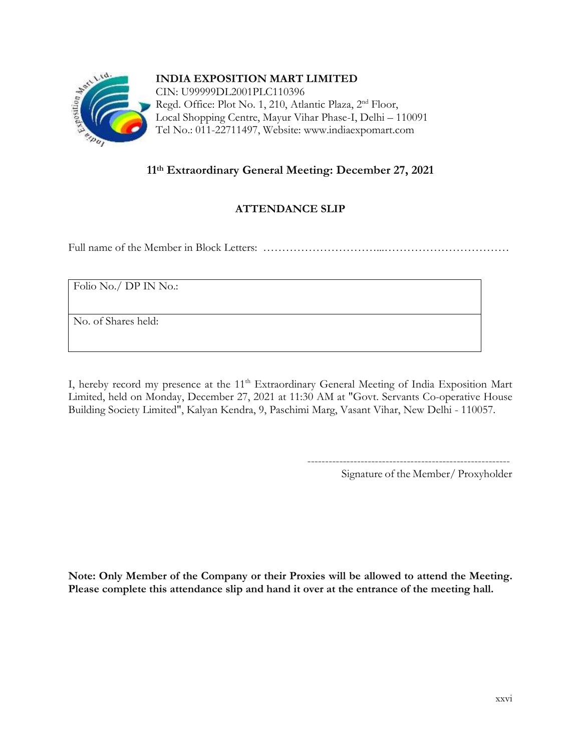

# **11th Extraordinary General Meeting: December 27, 2021**

# **ATTENDANCE SLIP**

Full name of the Member in Block Letters: …………………………...……………………………

Folio No./ DP IN No.:

No. of Shares held:

I, hereby record my presence at the 11<sup>th</sup> Extraordinary General Meeting of India Exposition Mart Limited, held on Monday, December 27, 2021 at 11:30 AM at "Govt. Servants Co-operative House Building Society Limited", Kalyan Kendra, 9, Paschimi Marg, Vasant Vihar, New Delhi - 110057.

---------------------------------------------------------

Signature of the Member/ Proxyholder

**Note: Only Member of the Company or their Proxies will be allowed to attend the Meeting. Please complete this attendance slip and hand it over at the entrance of the meeting hall.**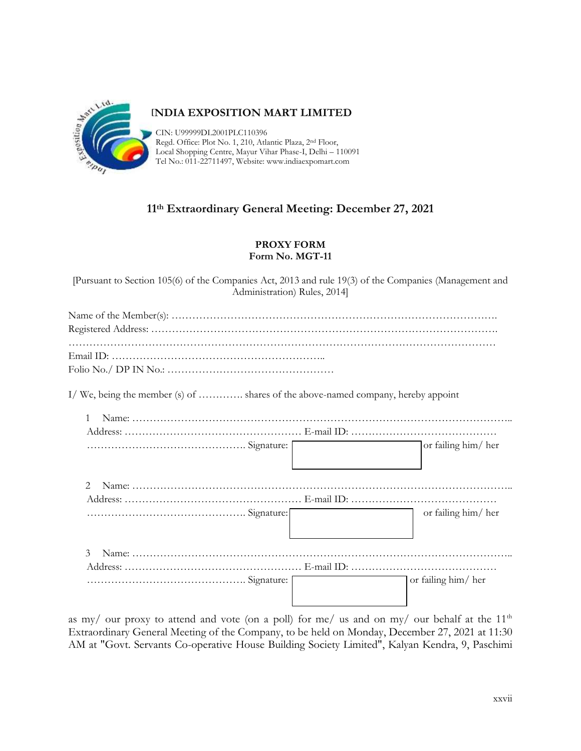

### **INDIA EXPOSITION MART LIMITED**

CIN: U99999DL2001PLC110396 Regd. Office: Plot No. 1, 210, Atlantic Plaza, 2nd Floor, Local Shopping Centre, Mayur Vihar Phase-I, Delhi – 110091 Tel No.: 011-22711497, Website: www.indiaexpomart.com

# **11th Extraordinary General Meeting: December 27, 2021**

#### **PROXY FORM Form No. MGT-11**

[Pursuant to Section 105(6) of the Companies Act, 2013 and rule 19(3) of the Companies (Management and Administration) Rules, 2014]

| I/We, being the member (s) of  shares of the above-named company, hereby appoint |                    |
|----------------------------------------------------------------------------------|--------------------|
|                                                                                  |                    |
|                                                                                  |                    |
|                                                                                  | or failing him/her |
|                                                                                  |                    |
|                                                                                  |                    |
|                                                                                  | or failing him/her |
|                                                                                  |                    |
|                                                                                  | or failing him/her |
|                                                                                  |                    |

as my/ our proxy to attend and vote (on a poll) for me/ us and on my/ our behalf at the  $11<sup>th</sup>$ Extraordinary General Meeting of the Company, to be held on Monday, December 27, 2021 at 11:30 AM at "Govt. Servants Co-operative House Building Society Limited", Kalyan Kendra, 9, Paschimi